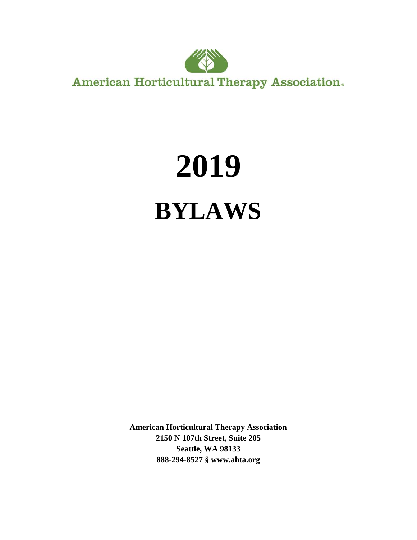

**American Horticultural Therapy Association.** 

# **2019 BYLAWS**

**American Horticultural Therapy Association 2150 N 107th Street, Suite 205 Seattle, WA 98133 888-294-8527 § www.ahta.org**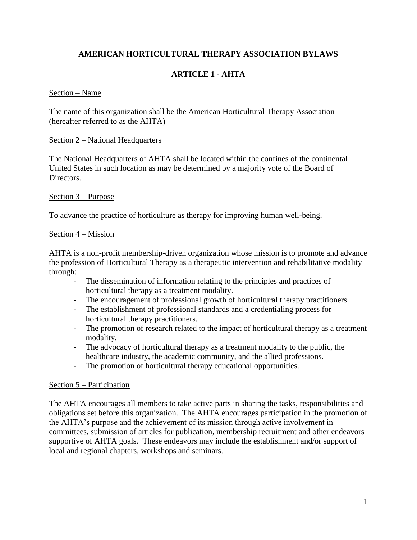# **AMERICAN HORTICULTURAL THERAPY ASSOCIATION BYLAWS**

# **ARTICLE 1 - AHTA**

#### Section – Name

The name of this organization shall be the American Horticultural Therapy Association (hereafter referred to as the AHTA)

#### Section 2 – National Headquarters

The National Headquarters of AHTA shall be located within the confines of the continental United States in such location as may be determined by a majority vote of the Board of Directors*.*

## Section 3 – Purpose

To advance the practice of horticulture as therapy for improving human well-being.

## Section 4 – Mission

AHTA is a non-profit membership-driven organization whose mission is to promote and advance the profession of Horticultural Therapy as a therapeutic intervention and rehabilitative modality through:

- The dissemination of information relating to the principles and practices of horticultural therapy as a treatment modality.
- The encouragement of professional growth of horticultural therapy practitioners.
- The establishment of professional standards and a credentialing process for horticultural therapy practitioners.
- The promotion of research related to the impact of horticultural therapy as a treatment modality.
- The advocacy of horticultural therapy as a treatment modality to the public, the healthcare industry, the academic community, and the allied professions.
- The promotion of horticultural therapy educational opportunities.

## Section 5 – Participation

The AHTA encourages all members to take active parts in sharing the tasks, responsibilities and obligations set before this organization. The AHTA encourages participation in the promotion of the AHTA's purpose and the achievement of its mission through active involvement in committees, submission of articles for publication, membership recruitment and other endeavors supportive of AHTA goals. These endeavors may include the establishment and/or support of local and regional chapters, workshops and seminars.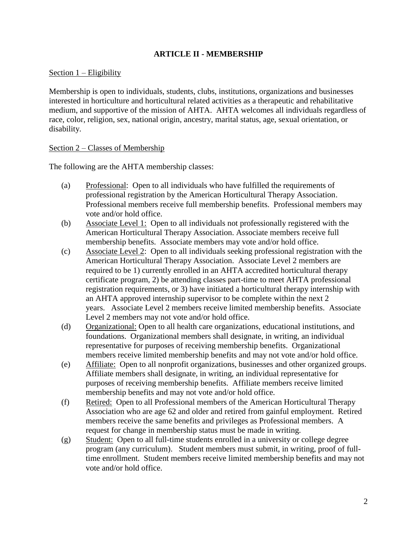## **ARTICLE II - MEMBERSHIP**

## Section 1 – Eligibility

Membership is open to individuals, students, clubs, institutions, organizations and businesses interested in horticulture and horticultural related activities as a therapeutic and rehabilitative medium, and supportive of the mission of AHTA. AHTA welcomes all individuals regardless of race, color, religion, sex, national origin, ancestry, marital status, age, sexual orientation, or disability.

#### Section 2 – Classes of Membership

The following are the AHTA membership classes:

- (a) Professional: Open to all individuals who have fulfilled the requirements of professional registration by the American Horticultural Therapy Association. Professional members receive full membership benefits. Professional members may vote and/or hold office.
- (b) Associate Level 1: Open to all individuals not professionally registered with the American Horticultural Therapy Association. Associate members receive full membership benefits. Associate members may vote and/or hold office.
- (c) Associate Level 2: Open to all individuals seeking professional registration with the American Horticultural Therapy Association. Associate Level 2 members are required to be 1) currently enrolled in an AHTA accredited horticultural therapy certificate program, 2) be attending classes part-time to meet AHTA professional registration requirements, or 3) have initiated a horticultural therapy internship with an AHTA approved internship supervisor to be complete within the next 2 years. Associate Level 2 members receive limited membership benefits. Associate Level 2 members may not vote and/or hold office.
- (d) Organizational: Open to all health care organizations, educational institutions, and foundations. Organizational members shall designate, in writing, an individual representative for purposes of receiving membership benefits. Organizational members receive limited membership benefits and may not vote and/or hold office.
- (e) Affiliate: Open to all nonprofit organizations, businesses and other organized groups. Affiliate members shall designate, in writing, an individual representative for purposes of receiving membership benefits. Affiliate members receive limited membership benefits and may not vote and/or hold office.
- (f) Retired: Open to all Professional members of the American Horticultural Therapy Association who are age 62 and older and retired from gainful employment. Retired members receive the same benefits and privileges as Professional members. A request for change in membership status must be made in writing.
- (g) Student: Open to all full-time students enrolled in a university or college degree program (any curriculum). Student members must submit, in writing, proof of fulltime enrollment. Student members receive limited membership benefits and may not vote and/or hold office.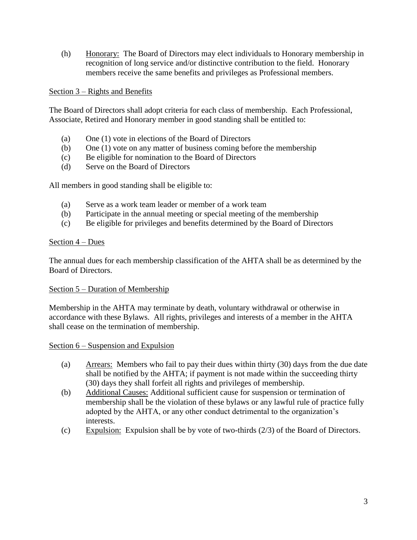(h) Honorary: The Board of Directors may elect individuals to Honorary membership in recognition of long service and/or distinctive contribution to the field. Honorary members receive the same benefits and privileges as Professional members.

## Section 3 – Rights and Benefits

The Board of Directors shall adopt criteria for each class of membership. Each Professional, Associate, Retired and Honorary member in good standing shall be entitled to:

- (a) One (1) vote in elections of the Board of Directors
- (b) One (1) vote on any matter of business coming before the membership
- (c) Be eligible for nomination to the Board of Directors
- (d) Serve on the Board of Directors

All members in good standing shall be eligible to:

- (a) Serve as a work team leader or member of a work team
- (b) Participate in the annual meeting or special meeting of the membership
- (c) Be eligible for privileges and benefits determined by the Board of Directors

## Section 4 – Dues

The annual dues for each membership classification of the AHTA shall be as determined by the Board of Directors.

## Section 5 – Duration of Membership

Membership in the AHTA may terminate by death, voluntary withdrawal or otherwise in accordance with these Bylaws. All rights, privileges and interests of a member in the AHTA shall cease on the termination of membership.

## Section 6 – Suspension and Expulsion

- (a) Arrears: Members who fail to pay their dues within thirty (30) days from the due date shall be notified by the AHTA; if payment is not made within the succeeding thirty (30) days they shall forfeit all rights and privileges of membership.
- (b) Additional Causes: Additional sufficient cause for suspension or termination of membership shall be the violation of these bylaws or any lawful rule of practice fully adopted by the AHTA, or any other conduct detrimental to the organization's interests.
- (c) Expulsion: Expulsion shall be by vote of two-thirds  $(2/3)$  of the Board of Directors.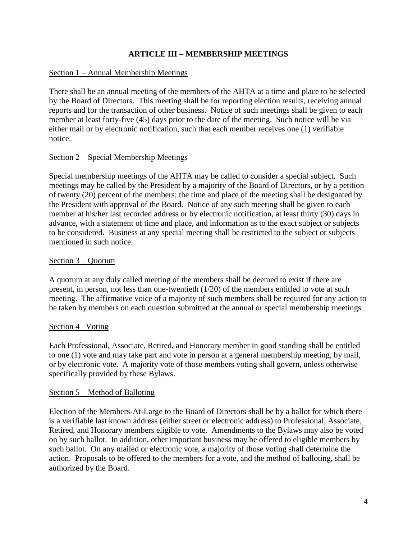## **ARTICLE III – MEMBERSHIP MEETINGS**

## Section 1 – Annual Membership Meetings

There shall be an annual meeting of the members of the AHTA at a time and place to be selected by the Board of Directors. This meeting shall be for reporting election results, receiving annual reports and for the transaction of other business. Notice of such meetings shall be given to each member at least forty-five (45) days prior to the date of the meeting. Such notice will be via either mail or by electronic notification, such that each member receives one (1) verifiable notice.

## Section 2 – Special Membership Meetings

Special membership meetings of the AHTA may be called to consider a special subject. Such meetings may be called by the President by a majority of the Board of Directors, or by a petition of twenty (20) percent of the members; the time and place of the meeting shall be designated by the President with approval of the Board. Notice of any such meeting shall be given to each member at his/her last recorded address or by electronic notification, at least thirty (30) days in advance, with a statement of time and place, and information as to the exact subject or subjects to be considered. Business at any special meeting shall be restricted to the subject or subjects mentioned in such notice.

## Section 3 – Quorum

A quorum at any duly called meeting of the members shall be deemed to exist if there are present, in person, not less than one-twentieth (1/20) of the members entitled to vote at such meeting. The affirmative voice of a majority of such members shall be required for any action to be taken by members on each question submitted at the annual or special membership meetings.

## Section 4– Voting

Each Professional, Associate, Retired, and Honorary member in good standing shall be entitled to one (1) vote and may take part and vote in person at a general membership meeting, by mail, or by electronic vote. A majority vote of those members voting shall govern, unless otherwise specifically provided by these Bylaws.

#### Section 5 – Method of Balloting

Election of the Members-At-Large to the Board of Directors shall be by a ballot for which there is a verifiable last known address (either street or electronic address) to Professional, Associate, Retired, and Honorary members eligible to vote. Amendments to the Bylaws may also be voted on by such ballot. In addition, other important business may be offered to eligible members by such ballot. On any mailed or electronic vote, a majority of those voting shall determine the action. Proposals to be offered to the members for a vote, and the method of balloting, shall be authorized by the Board.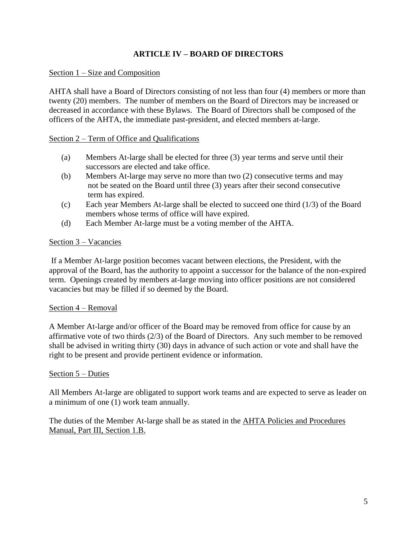# **ARTICLE IV – BOARD OF DIRECTORS**

## Section 1 – Size and Composition

AHTA shall have a Board of Directors consisting of not less than four (4) members or more than twenty (20) members. The number of members on the Board of Directors may be increased or decreased in accordance with these Bylaws. The Board of Directors shall be composed of the officers of the AHTA, the immediate past-president, and elected members at-large.

## Section 2 – Term of Office and Qualifications

- (a) Members At-large shall be elected for three (3) year terms and serve until their successors are elected and take office.
- (b) Members At-large may serve no more than two (2) consecutive terms and may not be seated on the Board until three (3) years after their second consecutive term has expired.
- (c) Each year Members At-large shall be elected to succeed one third (1/3) of the Board members whose terms of office will have expired.
- (d) Each Member At-large must be a voting member of the AHTA.

## Section 3 – Vacancies

If a Member At-large position becomes vacant between elections, the President, with the approval of the Board, has the authority to appoint a successor for the balance of the non-expired term. Openings created by members at-large moving into officer positions are not considered vacancies but may be filled if so deemed by the Board*.*

## Section 4 – Removal

A Member At-large and/or officer of the Board may be removed from office for cause by an affirmative vote of two thirds (2/3) of the Board of Directors. Any such member to be removed shall be advised in writing thirty (30) days in advance of such action or vote and shall have the right to be present and provide pertinent evidence or information.

## Section 5 – Duties

All Members At-large are obligated to support work teams and are expected to serve as leader on a minimum of one (1) work team annually.

The duties of the Member At-large shall be as stated in the AHTA Policies and Procedures Manual, Part III, Section 1.B.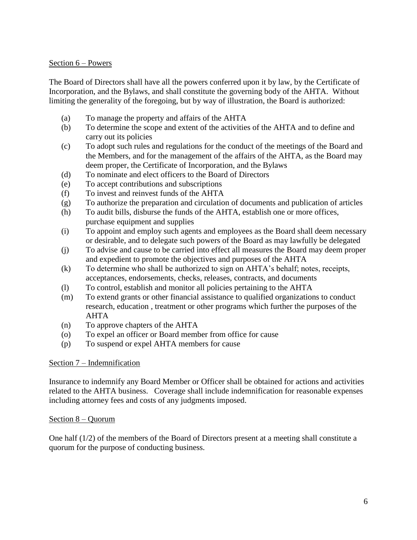## Section 6 – Powers

The Board of Directors shall have all the powers conferred upon it by law, by the Certificate of Incorporation, and the Bylaws, and shall constitute the governing body of the AHTA. Without limiting the generality of the foregoing, but by way of illustration, the Board is authorized:

- (a) To manage the property and affairs of the AHTA
- (b) To determine the scope and extent of the activities of the AHTA and to define and carry out its policies
- (c) To adopt such rules and regulations for the conduct of the meetings of the Board and the Members, and for the management of the affairs of the AHTA, as the Board may deem proper, the Certificate of Incorporation, and the Bylaws
- (d) To nominate and elect officers to the Board of Directors
- (e) To accept contributions and subscriptions
- (f) To invest and reinvest funds of the AHTA
- (g) To authorize the preparation and circulation of documents and publication of articles
- (h) To audit bills, disburse the funds of the AHTA, establish one or more offices, purchase equipment and supplies
- (i) To appoint and employ such agents and employees as the Board shall deem necessary or desirable, and to delegate such powers of the Board as may lawfully be delegated
- (j) To advise and cause to be carried into effect all measures the Board may deem proper and expedient to promote the objectives and purposes of the AHTA
- (k) To determine who shall be authorized to sign on AHTA's behalf; notes, receipts, acceptances, endorsements, checks, releases, contracts, and documents
- (l) To control, establish and monitor all policies pertaining to the AHTA
- (m) To extend grants or other financial assistance to qualified organizations to conduct research, education , treatment or other programs which further the purposes of the AHTA
- (n) To approve chapters of the AHTA
- (o) To expel an officer or Board member from office for cause
- (p) To suspend or expel AHTA members for cause

## Section 7 – Indemnification

Insurance to indemnify any Board Member or Officer shall be obtained for actions and activities related to the AHTA business. Coverage shall include indemnification for reasonable expenses including attorney fees and costs of any judgments imposed.

## Section 8 – Quorum

One half (1/2) of the members of the Board of Directors present at a meeting shall constitute a quorum for the purpose of conducting business.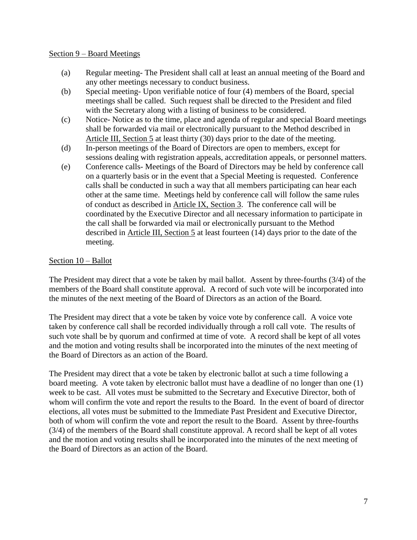#### Section 9 – Board Meetings

- (a) Regular meeting- The President shall call at least an annual meeting of the Board and any other meetings necessary to conduct business.
- (b) Special meeting- Upon verifiable notice of four (4) members of the Board, special meetings shall be called. Such request shall be directed to the President and filed with the Secretary along with a listing of business to be considered.
- (c) Notice- Notice as to the time, place and agenda of regular and special Board meetings shall be forwarded via mail or electronically pursuant to the Method described in Article III, Section 5 at least thirty (30) days prior to the date of the meeting.
- (d) In-person meetings of the Board of Directors are open to members, except for sessions dealing with registration appeals, accreditation appeals, or personnel matters.
- (e) Conference calls- Meetings of the Board of Directors may be held by conference call on a quarterly basis or in the event that a Special Meeting is requested. Conference calls shall be conducted in such a way that all members participating can hear each other at the same time. Meetings held by conference call will follow the same rules of conduct as described in Article IX, Section 3. The conference call will be coordinated by the Executive Director and all necessary information to participate in the call shall be forwarded via mail or electronically pursuant to the Method described in Article III, Section 5 at least fourteen (14) days prior to the date of the meeting.

# Section 10 – Ballot

The President may direct that a vote be taken by mail ballot. Assent by three-fourths (3/4) of the members of the Board shall constitute approval. A record of such vote will be incorporated into the minutes of the next meeting of the Board of Directors as an action of the Board.

The President may direct that a vote be taken by voice vote by conference call. A voice vote taken by conference call shall be recorded individually through a roll call vote. The results of such vote shall be by quorum and confirmed at time of vote. A record shall be kept of all votes and the motion and voting results shall be incorporated into the minutes of the next meeting of the Board of Directors as an action of the Board.

The President may direct that a vote be taken by electronic ballot at such a time following a board meeting. A vote taken by electronic ballot must have a deadline of no longer than one (1) week to be cast. All votes must be submitted to the Secretary and Executive Director, both of whom will confirm the vote and report the results to the Board. In the event of board of director elections, all votes must be submitted to the Immediate Past President and Executive Director, both of whom will confirm the vote and report the result to the Board. Assent by three-fourths (3/4) of the members of the Board shall constitute approval. A record shall be kept of all votes and the motion and voting results shall be incorporated into the minutes of the next meeting of the Board of Directors as an action of the Board.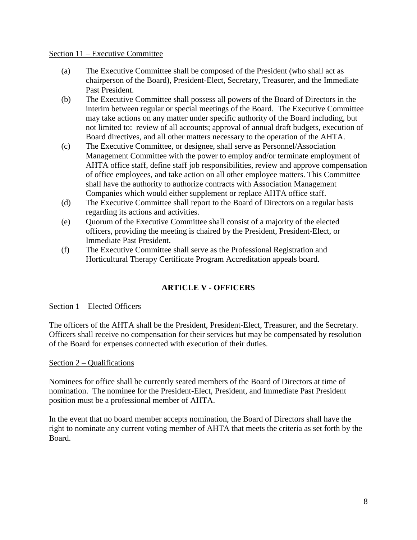#### Section 11 – Executive Committee

- (a) The Executive Committee shall be composed of the President (who shall act as chairperson of the Board), President-Elect, Secretary, Treasurer, and the Immediate Past President.
- (b) The Executive Committee shall possess all powers of the Board of Directors in the interim between regular or special meetings of the Board. The Executive Committee may take actions on any matter under specific authority of the Board including, but not limited to: review of all accounts; approval of annual draft budgets, execution of Board directives, and all other matters necessary to the operation of the AHTA.
- (c) The Executive Committee, or designee, shall serve as Personnel/Association Management Committee with the power to employ and/or terminate employment of AHTA office staff, define staff job responsibilities, review and approve compensation of office employees, and take action on all other employee matters. This Committee shall have the authority to authorize contracts with Association Management Companies which would either supplement or replace AHTA office staff.
- (d) The Executive Committee shall report to the Board of Directors on a regular basis regarding its actions and activities.
- (e) Quorum of the Executive Committee shall consist of a majority of the elected officers, providing the meeting is chaired by the President, President-Elect, or Immediate Past President.
- (f) The Executive Committee shall serve as the Professional Registration and Horticultural Therapy Certificate Program Accreditation appeals board.

# **ARTICLE V - OFFICERS**

# Section 1 – Elected Officers

The officers of the AHTA shall be the President, President-Elect, Treasurer, and the Secretary. Officers shall receive no compensation for their services but may be compensated by resolution of the Board for expenses connected with execution of their duties.

## Section 2 – Qualifications

Nominees for office shall be currently seated members of the Board of Directors at time of nomination. The nominee for the President-Elect, President, and Immediate Past President position must be a professional member of AHTA.

In the event that no board member accepts nomination, the Board of Directors shall have the right to nominate any current voting member of AHTA that meets the criteria as set forth by the Board.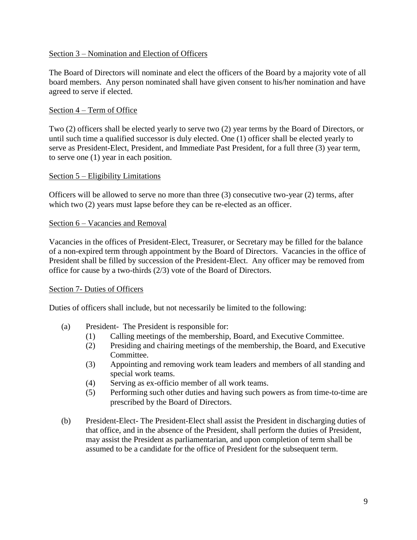## Section 3 – Nomination and Election of Officers

The Board of Directors will nominate and elect the officers of the Board by a majority vote of all board members. Any person nominated shall have given consent to his/her nomination and have agreed to serve if elected.

## Section 4 – Term of Office

Two (2) officers shall be elected yearly to serve two (2) year terms by the Board of Directors, or until such time a qualified successor is duly elected. One (1) officer shall be elected yearly to serve as President-Elect, President, and Immediate Past President, for a full three (3) year term, to serve one (1) year in each position.

## Section 5 – Eligibility Limitations

Officers will be allowed to serve no more than three (3) consecutive two-year (2) terms, after which two (2) years must lapse before they can be re-elected as an officer.

## Section 6 – Vacancies and Removal

Vacancies in the offices of President-Elect, Treasurer, or Secretary may be filled for the balance of a non-expired term through appointment by the Board of Directors. Vacancies in the office of President shall be filled by succession of the President-Elect. Any officer may be removed from office for cause by a two-thirds (2/3) vote of the Board of Directors.

## Section 7- Duties of Officers

Duties of officers shall include, but not necessarily be limited to the following:

- (a) President- The President is responsible for:
	- (1) Calling meetings of the membership, Board, and Executive Committee.
	- (2) Presiding and chairing meetings of the membership, the Board, and Executive Committee.
	- (3) Appointing and removing work team leaders and members of all standing and special work teams.
	- (4) Serving as ex-officio member of all work teams.
	- (5) Performing such other duties and having such powers as from time-to-time are prescribed by the Board of Directors.
- (b) President-Elect- The President-Elect shall assist the President in discharging duties of that office, and in the absence of the President, shall perform the duties of President, may assist the President as parliamentarian, and upon completion of term shall be assumed to be a candidate for the office of President for the subsequent term.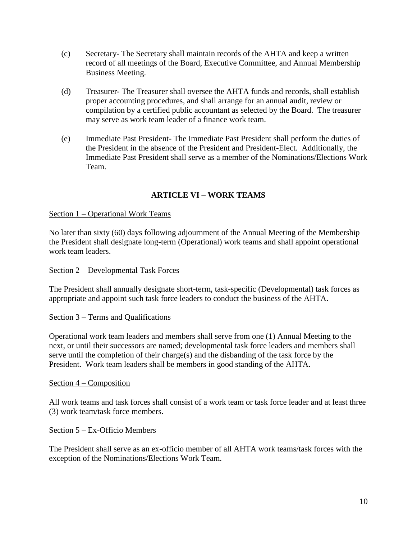- (c) Secretary- The Secretary shall maintain records of the AHTA and keep a written record of all meetings of the Board, Executive Committee, and Annual Membership Business Meeting.
- (d) Treasurer- The Treasurer shall oversee the AHTA funds and records, shall establish proper accounting procedures, and shall arrange for an annual audit, review or compilation by a certified public accountant as selected by the Board. The treasurer may serve as work team leader of a finance work team.
- (e) Immediate Past President- The Immediate Past President shall perform the duties of the President in the absence of the President and President-Elect. Additionally, the Immediate Past President shall serve as a member of the Nominations/Elections Work Team.

# **ARTICLE VI – WORK TEAMS**

## Section 1 – Operational Work Teams

No later than sixty (60) days following adjournment of the Annual Meeting of the Membership the President shall designate long-term (Operational) work teams and shall appoint operational work team leaders.

## Section 2 – Developmental Task Forces

The President shall annually designate short-term, task-specific (Developmental) task forces as appropriate and appoint such task force leaders to conduct the business of the AHTA.

## Section 3 – Terms and Qualifications

Operational work team leaders and members shall serve from one (1) Annual Meeting to the next, or until their successors are named; developmental task force leaders and members shall serve until the completion of their charge(s) and the disbanding of the task force by the President. Work team leaders shall be members in good standing of the AHTA.

#### Section 4 – Composition

All work teams and task forces shall consist of a work team or task force leader and at least three (3) work team/task force members.

#### Section 5 – Ex-Officio Members

The President shall serve as an ex-officio member of all AHTA work teams/task forces with the exception of the Nominations/Elections Work Team.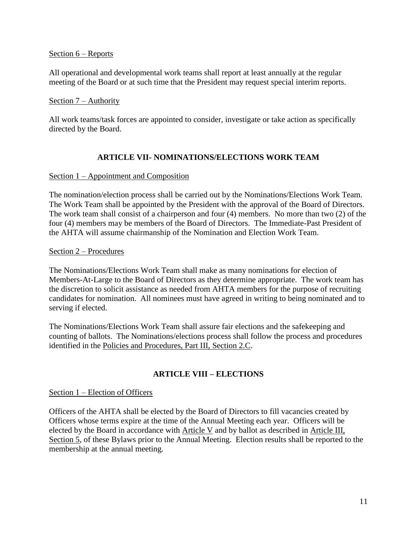### Section 6 – Reports

All operational and developmental work teams shall report at least annually at the regular meeting of the Board or at such time that the President may request special interim reports.

#### Section 7 – Authority

All work teams/task forces are appointed to consider, investigate or take action as specifically directed by the Board.

# **ARTICLE VII- NOMINATIONS/ELECTIONS WORK TEAM**

## Section 1 – Appointment and Composition

The nomination/election process shall be carried out by the Nominations/Elections Work Team. The Work Team shall be appointed by the President with the approval of the Board of Directors. The work team shall consist of a chairperson and four (4) members. No more than two (2) of the four (4) members may be members of the Board of Directors. The Immediate-Past President of the AHTA will assume chairmanship of the Nomination and Election Work Team.

## Section 2 – Procedures

The Nominations/Elections Work Team shall make as many nominations for election of Members-At-Large to the Board of Directors as they determine appropriate. The work team has the discretion to solicit assistance as needed from AHTA members for the purpose of recruiting candidates for nomination. All nominees must have agreed in writing to being nominated and to serving if elected.

The Nominations/Elections Work Team shall assure fair elections and the safekeeping and counting of ballots. The Nominations/elections process shall follow the process and procedures identified in the Policies and Procedures, Part III, Section 2.C.

# **ARTICLE VIII – ELECTIONS**

## Section 1 – Election of Officers

Officers of the AHTA shall be elected by the Board of Directors to fill vacancies created by Officers whose terms expire at the time of the Annual Meeting each year. Officers will be elected by the Board in accordance with Article V and by ballot as described in Article III, Section 5, of these Bylaws prior to the Annual Meeting. Election results shall be reported to the membership at the annual meeting.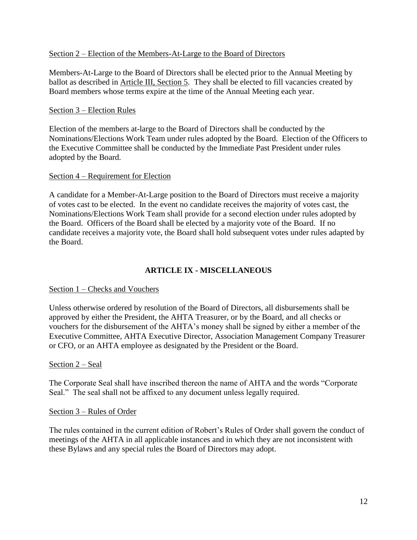## Section 2 – Election of the Members-At-Large to the Board of Directors

Members-At-Large to the Board of Directors shall be elected prior to the Annual Meeting by ballot as described in **Article III**, Section 5. They shall be elected to fill vacancies created by Board members whose terms expire at the time of the Annual Meeting each year.

## Section 3 – Election Rules

Election of the members at-large to the Board of Directors shall be conducted by the Nominations/Elections Work Team under rules adopted by the Board. Election of the Officers to the Executive Committee shall be conducted by the Immediate Past President under rules adopted by the Board.

## Section 4 – Requirement for Election

A candidate for a Member-At-Large position to the Board of Directors must receive a majority of votes cast to be elected. In the event no candidate receives the majority of votes cast, the Nominations/Elections Work Team shall provide for a second election under rules adopted by the Board. Officers of the Board shall be elected by a majority vote of the Board. If no candidate receives a majority vote, the Board shall hold subsequent votes under rules adapted by the Board.

# **ARTICLE IX - MISCELLANEOUS**

# Section 1 – Checks and Vouchers

Unless otherwise ordered by resolution of the Board of Directors, all disbursements shall be approved by either the President, the AHTA Treasurer, or by the Board, and all checks or vouchers for the disbursement of the AHTA's money shall be signed by either a member of the Executive Committee, AHTA Executive Director, Association Management Company Treasurer or CFO, or an AHTA employee as designated by the President or the Board.

## Section 2 – Seal

The Corporate Seal shall have inscribed thereon the name of AHTA and the words "Corporate Seal." The seal shall not be affixed to any document unless legally required.

## Section 3 – Rules of Order

The rules contained in the current edition of Robert's Rules of Order shall govern the conduct of meetings of the AHTA in all applicable instances and in which they are not inconsistent with these Bylaws and any special rules the Board of Directors may adopt.